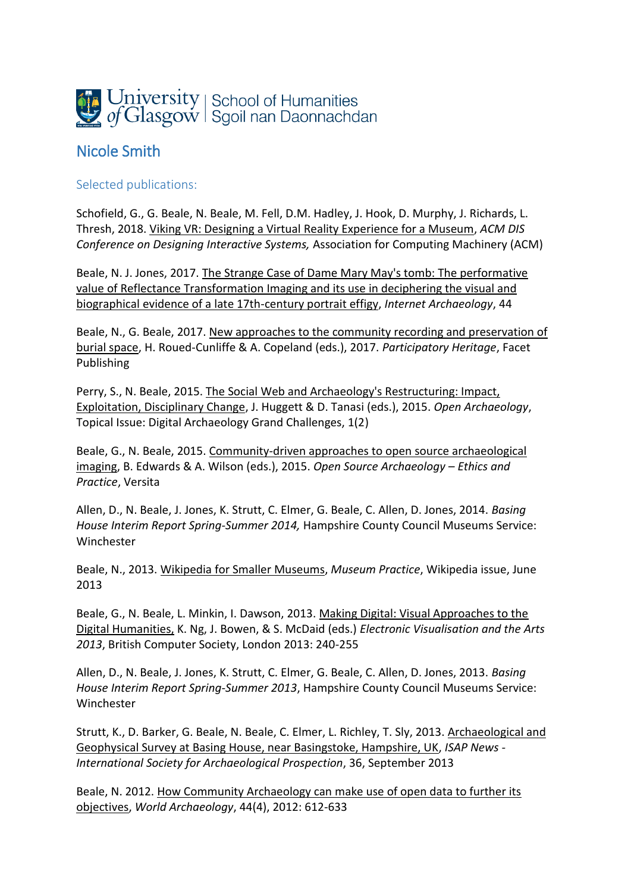

## Nicole Smith

## Selected publications:

Schofield, G., G. Beale, N. Beale, M. Fell, D.M. Hadley, J. Hook, D. Murphy, J. Richards, L. Thresh, 2018. Viking VR: Designing a Virtual Reality Experience for a Museum, *ACM DIS Conference on Designing Interactive Systems,* Association for Computing Machinery (ACM)

Beale, N. J. Jones, 2017. The Strange Case of Dame Mary May's tomb: The performative value of Reflectance Transformation Imaging and its use in deciphering the visual and biographical evidence of a late 17th-century portrait effigy, *Internet Archaeology*, 44

Beale, N., G. Beale, 2017. New approaches to the community recording and preservation of burial space, H. Roued-Cunliffe & A. Copeland (eds.), 2017. *Participatory Heritage*, Facet Publishing

Perry, S., N. Beale, 2015. The Social Web and Archaeology's Restructuring: Impact, Exploitation, Disciplinary Change, J. Huggett & D. Tanasi (eds.), 2015. *Open Archaeology*, Topical Issue: Digital Archaeology Grand Challenges, 1(2)

Beale, G., N. Beale, 2015. Community-driven approaches to open source archaeological imaging, B. Edwards & A. Wilson (eds.), 2015. *Open Source Archaeology – Ethics and Practice*, Versita

Allen, D., N. Beale, J. Jones, K. Strutt, C. Elmer, G. Beale, C. Allen, D. Jones, 2014. *Basing House Interim Report Spring-Summer 2014,* Hampshire County Council Museums Service: Winchester

Beale, N., 2013. Wikipedia for Smaller Museums, *Museum Practice*, Wikipedia issue, June 2013

Beale, G., N. Beale, L. Minkin, I. Dawson, 2013. Making Digital: Visual Approaches to the Digital Humanities, K. Ng, J. Bowen, & S. McDaid (eds.) *Electronic Visualisation and the Arts 2013*, British Computer Society, London 2013: 240-255

Allen, D., N. Beale, J. Jones, K. Strutt, C. Elmer, G. Beale, C. Allen, D. Jones, 2013. *Basing House Interim Report Spring-Summer 2013*, Hampshire County Council Museums Service: Winchester

Strutt, K., D. Barker, G. Beale, N. Beale, C. Elmer, L. Richley, T. Sly, 2013. Archaeological and Geophysical Survey at Basing House, near Basingstoke, Hampshire, UK, *ISAP News - International Society for Archaeological Prospection*, 36, September 2013

Beale, N. 2012. How Community Archaeology can make use of open data to further its objectives, *World Archaeology*, 44(4), 2012: 612-633